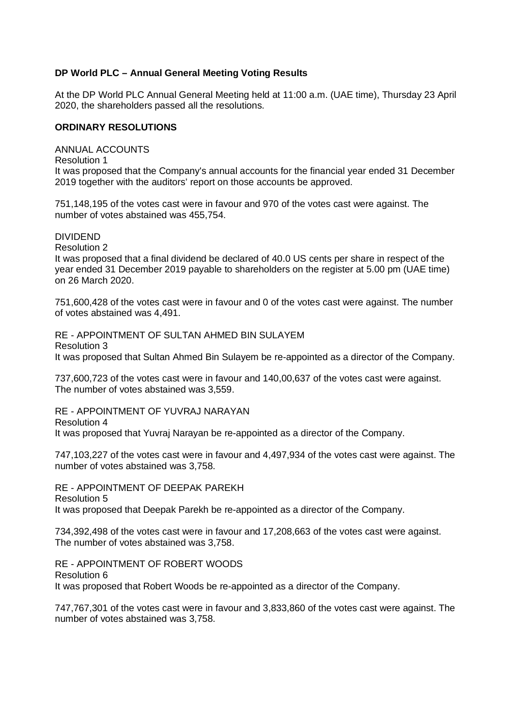## **DP World PLC – Annual General Meeting Voting Results**

At the DP World PLC Annual General Meeting held at 11:00 a.m. (UAE time), Thursday 23 April 2020, the shareholders passed all the resolutions.

## **ORDINARY RESOLUTIONS**

ANNUAL ACCOUNTS Resolution 1 It was proposed that the Company's annual accounts for the financial year ended 31 December 2019 together with the auditors' report on those accounts be approved.

751,148,195 of the votes cast were in favour and 970 of the votes cast were against. The number of votes abstained was 455,754.

DIVIDEND

Resolution 2

It was proposed that a final dividend be declared of 40.0 US cents per share in respect of the year ended 31 December 2019 payable to shareholders on the register at 5.00 pm (UAE time) on 26 March 2020.

751,600,428 of the votes cast were in favour and 0 of the votes cast were against. The number of votes abstained was 4,491.

RE - APPOINTMENT OF SULTAN AHMED BIN SULAYEM Resolution 3

It was proposed that Sultan Ahmed Bin Sulayem be re-appointed as a director of the Company.

737,600,723 of the votes cast were in favour and 140,00,637 of the votes cast were against. The number of votes abstained was 3,559.

RE - APPOINTMENT OF YUVRAJ NARAYAN Resolution 4 It was proposed that Yuvraj Narayan be re-appointed as a director of the Company.

747,103,227 of the votes cast were in favour and 4,497,934 of the votes cast were against. The number of votes abstained was 3,758.

RE - APPOINTMENT OF DEEPAK PAREKH Resolution 5 It was proposed that Deepak Parekh be re-appointed as a director of the Company.

734,392,498 of the votes cast were in favour and 17,208,663 of the votes cast were against. The number of votes abstained was 3,758.

RE - APPOINTMENT OF ROBERT WOODS Resolution 6 It was proposed that Robert Woods be re-appointed as a director of the Company.

747,767,301 of the votes cast were in favour and 3,833,860 of the votes cast were against. The number of votes abstained was 3,758.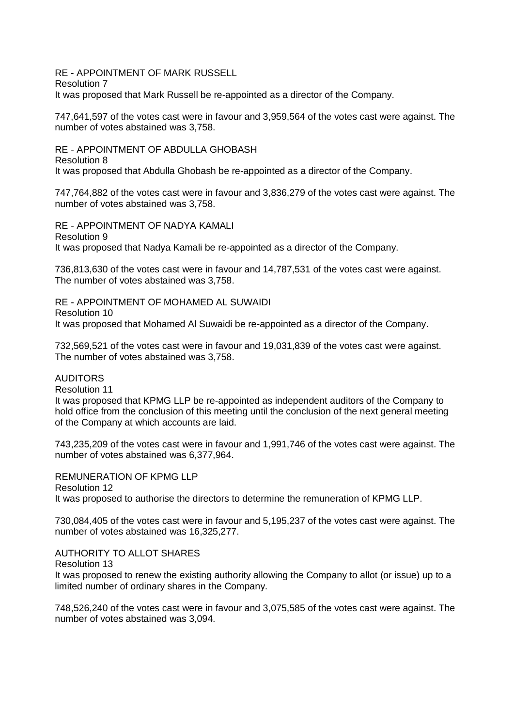RE - APPOINTMENT OF MARK RUSSELL Resolution 7 It was proposed that Mark Russell be re-appointed as a director of the Company.

747,641,597 of the votes cast were in favour and 3,959,564 of the votes cast were against. The number of votes abstained was 3,758.

RE - APPOINTMENT OF ABDULLA GHOBASH Resolution 8 It was proposed that Abdulla Ghobash be re-appointed as a director of the Company.

747,764,882 of the votes cast were in favour and 3,836,279 of the votes cast were against. The number of votes abstained was 3,758.

RE - APPOINTMENT OF NADYA KAMALI Resolution 9 It was proposed that Nadya Kamali be re-appointed as a director of the Company.

736,813,630 of the votes cast were in favour and 14,787,531 of the votes cast were against. The number of votes abstained was 3,758.

RE - APPOINTMENT OF MOHAMED AL SUWAIDI Resolution 10 It was proposed that Mohamed Al Suwaidi be re-appointed as a director of the Company.

732,569,521 of the votes cast were in favour and 19,031,839 of the votes cast were against. The number of votes abstained was 3,758.

## **AUDITORS**

Resolution 11

It was proposed that KPMG LLP be re-appointed as independent auditors of the Company to hold office from the conclusion of this meeting until the conclusion of the next general meeting of the Company at which accounts are laid.

743,235,209 of the votes cast were in favour and 1,991,746 of the votes cast were against. The number of votes abstained was 6,377,964.

REMUNERATION OF KPMG LLP Resolution 12 It was proposed to authorise the directors to determine the remuneration of KPMG LLP.

730,084,405 of the votes cast were in favour and 5,195,237 of the votes cast were against. The number of votes abstained was 16,325,277.

AUTHORITY TO ALLOT SHARES

Resolution 13

It was proposed to renew the existing authority allowing the Company to allot (or issue) up to a limited number of ordinary shares in the Company.

748,526,240 of the votes cast were in favour and 3,075,585 of the votes cast were against. The number of votes abstained was 3,094.